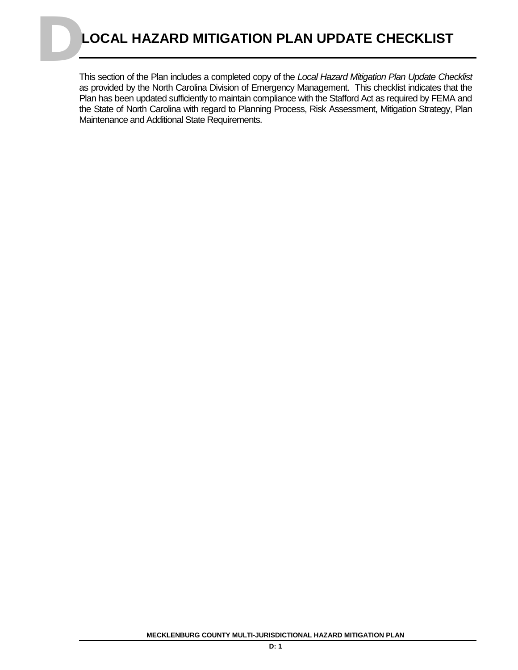This section of the Plan includes a completed copy of the *Local Hazard Mitigation Plan Update Checklist* as provided by the North Carolina Division of Emergency Management. This checklist indicates that the Plan has been updated sufficiently to maintain compliance with the Stafford Act as required by FEMA and the State of North Carolina with regard to Planning Process, Risk Assessment, Mitigation Strategy, Plan Maintenance and Additional State Requirements.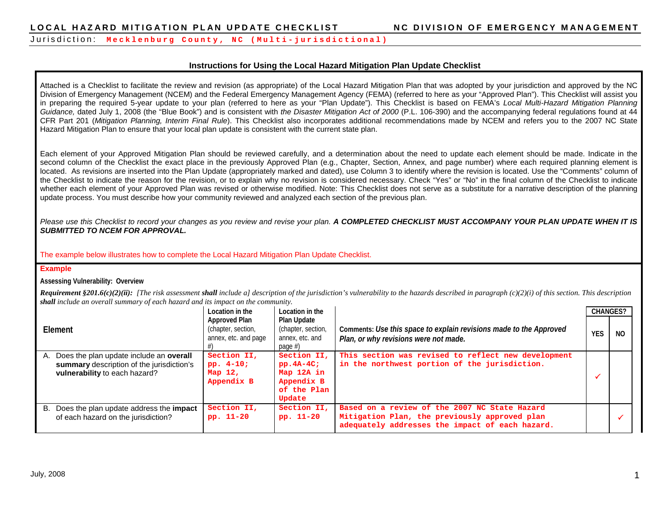#### **Instructions for Using the Local Hazard Mitigation Plan Update Checklist**

Attached is a Checklist to facilitate the review and revision (as appropriate) of the Local Hazard Mitigation Plan that was adopted by your jurisdiction and approved by the NC Division of Emergency Management (NCEM) and the Federal Emergency Management Agency (FEMA) (referred to here as your "Approved Plan"). This Checklist will assist you in preparing the required 5-year update to your plan (referred to here as your "Plan Update"). This Checklist is based on FEMA's *Local Multi-Hazard Mitigation Planning Guidance,* dated July 1, 2008 (the "Blue Book") and is consistent with *the Disaster Mitigation Act of 2000* (P.L. 106-390) and the accompanying federal regulations found at 44 CFR Part 201 (*Mitigation Planning, Interim Final Rule*). This Checklist also incorporates additional recommendations made by NCEM and refers you to the 2007 NC State Hazard Mitigation Plan to ensure that your local plan update is consistent with the current state plan.

Each element of your Approved Mitigation Plan should be reviewed carefully, and a determination about the need to update each element should be made. Indicate in the second column of the Checklist the exact place in the previously Approved Plan (e.g., Chapter, Section, Annex, and page number) where each required planning element is located. As revisions are inserted into the Plan Update (appropriately marked and dated), use Column 3 to identify where the revision is located. Use the "Comments" column of the Checklist to indicate the reason for the revision, or to explain why no revision is considered necessary. Check "Yes" or "No" in the final column of the Checklist to indicate whether each element of your Approved Plan was revised or otherwise modified. Note: This Checklist does not serve as a substitute for a narrative description of the planning update process. You must describe how your community reviewed and analyzed each section of the previous plan.

Please use this Checklist to record your changes as you review and revise your plan. A COMPLETED CHECKLIST MUST ACCOMPANY YOUR PLAN UPDATE WHEN IT IS *SUBMITTED TO NCEM FOR APPROVAL.* 

The example below illustrates how to complete the Local Hazard Mitigation Plan Update Checklist.

#### **Example**

**Assessing Vulnerability: Overview**

**Requirement §201.6(c)(2)(ii):** [The risk assessment shall include a] description of the jurisdiction's vulnerability to the hazards described in paragraph (c)(2)(i) of this section. This description *shall include an overall summary of each hazard and its impact on the community.*

|                                                                                                                                    | Location in the                                             | Location in the                                                                  |                                                                                                                                                   | <b>CHANGES?</b> |     |
|------------------------------------------------------------------------------------------------------------------------------------|-------------------------------------------------------------|----------------------------------------------------------------------------------|---------------------------------------------------------------------------------------------------------------------------------------------------|-----------------|-----|
| Element                                                                                                                            | Approved Plan<br>(chapter, section,<br>annex, etc. and page | <b>Plan Update</b><br>(chapter, section,<br>annex, etc. and<br>page #)           | Comments: Use this space to explain revisions made to the Approved<br>Plan, or why revisions were not made.                                       | <b>YES</b>      | NO. |
| Does the plan update include an <b>overall</b><br>А.<br>summary description of the jurisdiction's<br>vulnerability to each hazard? | Section II,<br>pp. $4-10;$<br>Map $12,$<br>Appendix B       | Section II,<br>$pp.4A-4C$ ;<br>Map 12A in<br>Appendix B<br>of the Plan<br>Update | This section was revised to reflect new development<br>in the northwest portion of the jurisdiction.                                              |                 |     |
| B. Does the plan update address the <b>impact</b><br>of each hazard on the jurisdiction?                                           | Section II,<br>pp. 11-20                                    | Section II,<br>pp. 11-20                                                         | Based on a review of the 2007 NC State Hazard<br>Mitigation Plan, the previously approved plan<br>adequately addresses the impact of each hazard. |                 |     |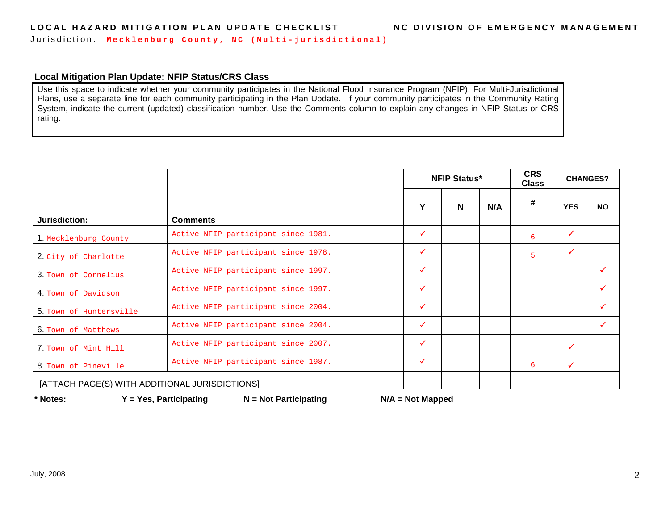Jurisdiction: **Mecklenburg County, NC ( Multi - jurisdictional)**

#### **Local Mitigation Plan Update: NFIP Status/CRS Class**

Use this space to indicate whether your community participates in the National Flood Insurance Program (NFIP). For Multi-Jurisdictional Plans, use a separate line for each community participating in the Plan Update. If your community participates in the Community Rating System, indicate the current (updated) classification number. Use the Comments column to explain any changes in NFIP Status or CRS rating.

|                                                |                                     |              | <b>NFIP Status*</b> |     | <b>CRS</b><br><b>Class</b> |              | <b>CHANGES?</b> |
|------------------------------------------------|-------------------------------------|--------------|---------------------|-----|----------------------------|--------------|-----------------|
|                                                |                                     | Y            | N                   | N/A | #                          | <b>YES</b>   | <b>NO</b>       |
| Jurisdiction:                                  | <b>Comments</b>                     |              |                     |     |                            |              |                 |
| 1. Mecklenburg County                          | Active NFIP participant since 1981. | ✓            |                     |     | 6                          | $\checkmark$ |                 |
| 2. City of Charlotte                           | Active NFIP participant since 1978. | $\checkmark$ |                     |     | 5                          | $\checkmark$ |                 |
| 3. Town of Cornelius                           | Active NFIP participant since 1997. | $\checkmark$ |                     |     |                            |              | ✓               |
| 4. Town of Davidson                            | Active NFIP participant since 1997. | ✓            |                     |     |                            |              | ✓               |
| 5. Town of Huntersville                        | Active NFIP participant since 2004. | $\checkmark$ |                     |     |                            |              | $\checkmark$    |
| 6. Town of Matthews                            | Active NFIP participant since 2004. | ✓            |                     |     |                            |              | ✓               |
| 7. Town of Mint Hill                           | Active NFIP participant since 2007. | $\checkmark$ |                     |     |                            | $\checkmark$ |                 |
| 8. Town of Pineville                           | Active NFIP participant since 1987. | ✓            |                     |     | 6                          | $\checkmark$ |                 |
| [ATTACH PAGE(S) WITH ADDITIONAL JURISDICTIONS] |                                     |              |                     |     |                            |              |                 |

**\* Notes: Y = Yes, Participating N = Not Participating N/A = Not Mapped**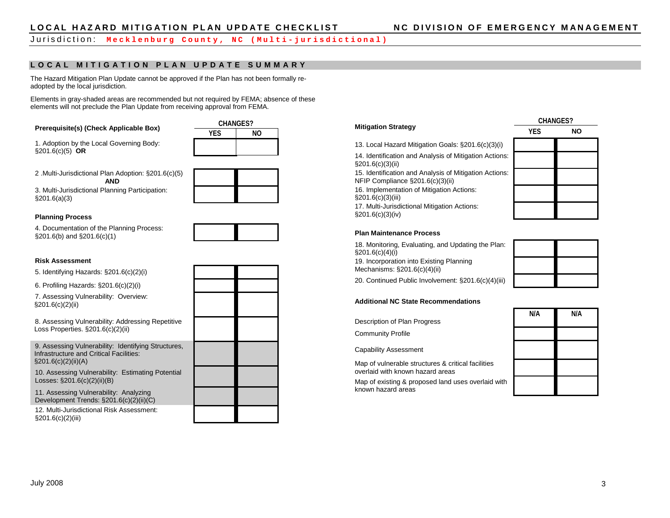#### **LOCAL MITIGATION PLAN UPDATE SUMMARY**

The Hazard Mitigation Plan Update cannot be approved if the Plan has not been formally readopted by the local jurisdiction.

Elements in gray-shaded areas are recommended but not required by FEMA; absence of these elements will not preclude the Plan Update from receiving approval from FEMA.

# **Prerequisite(s) (Check Applicable Box)** CHANGES?

1. Adoption by the Local Governing Body: §201.6(c)(5) **OR**



2 .Multi-Jurisdictional Plan Adoption: §201.6(c)(5)

**AND** 3. Multi-Jurisdictional Planning Participation:

§201.6(a)(3)



#### **Planning Process**

4. Documentation of the Planning Process: §201.6(b) and §201.6(c)(1)



#### **Risk Assessment**

5. Identifying Hazards: §201.6(c)(2)(i)

6. Profiling Hazards: §201.6(c)(2)(i)

7. Assessing Vulnerability: Overview: §201.6(c)(2)(ii)

8. Assessing Vulnerability: Addressing Repetitive Loss Properties. §201.6(c)(2)(ii)

9. Assessing Vulnerability: Identifying Structures, Infrastructure and Critical Facilities:  $\S201.6(c)(2)(ii)(A)$ 

10. Assessing Vulnerability: Estimating Potential Losses: §201.6(c)(2)(ii)(B)

11. Assessing Vulnerability: Analyzing Development Trends: §201.6(c)(2)(ii)(C)

12. Multi-Jurisdictional Risk Assessment: §201.6(c)(2)(iii)

#### **Mitigation Strategy CHANGES? YES NO** 13. Local Hazard Mitigation Goals: §201.6(c)(3)(i) 14. Identification and Analysis of Mitigation Actions: §201.6(c)(3)(ii) 15. Identification and Analysis of Mitigation Actions: NFIP Compliance §201.6(c)(3)(ii) 16. Implementation of Mitigation Actions: §201.6(c)(3)(iii) 17. Multi-Jurisdictional Mitigation Actions: §201.6(c)(3)(iv)

#### **Plan Maintenance Process**

18. Monitoring, Evaluating, and Updating the Plan: §201.6(c)(4)(i) 19. Incorporation into Existing Planning Mechanisms: §201.6(c)(4)(ii)



20. Continued Public Involvement: §201.6(c)(4)(iii)

#### **Additional NC State Recommendations**

Description of Plan Progress

Community Profile

Capability Assessment

Map of vulnerable structures & critical facilities overlaid with known hazard areas

Map of existing & proposed land uses overlaid with known hazard areas

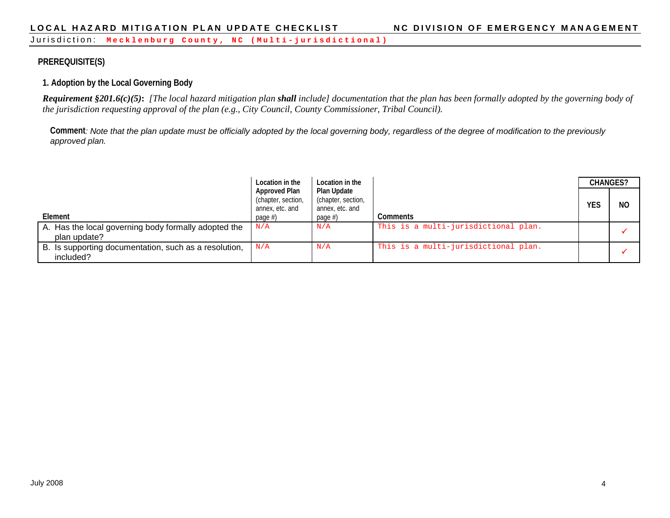# **PREREQUISITE(S)**

# **1. Adoption by the Local Governing Body**

*Requirement §201.6(c)(5)***:** *[The local hazard mitigation plan shall include] documentation that the plan has been formally adopted by the governing body of the jurisdiction requesting approval of the plan (e.g., City Council, County Commissioner, Tribal Council).*

**Comment***: Note that the plan update must be officially adopted by the local governing body, regardless of the degree of modification to the previously approved plan.* 

|                                                                      | Location in the                                               | Location in the                                             |                                      | <b>CHANGES?</b> |     |
|----------------------------------------------------------------------|---------------------------------------------------------------|-------------------------------------------------------------|--------------------------------------|-----------------|-----|
| Element                                                              | <b>Approved Plan</b><br>(chapter, section,<br>annex, etc. and | <b>Plan Update</b><br>(chapter, section,<br>annex, etc. and | <b>Comments</b>                      | YES             | NO. |
|                                                                      | page $#$ )                                                    | page $#$ )                                                  |                                      |                 |     |
| A. Has the local governing body formally adopted the<br>plan update? | N/A                                                           | N/A                                                         | This is a multi-jurisdictional plan. |                 |     |
| B. Is supporting documentation, such as a resolution,<br>included?   | N/A                                                           | N/A                                                         | This is a multi-jurisdictional plan. |                 |     |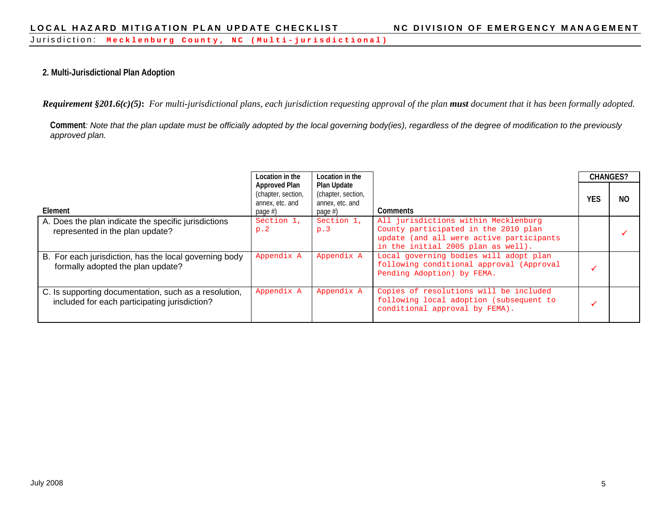#### **2. Multi-Jurisdictional Plan Adoption**

**Requirement §201.6(c)(5):** For multi-jurisdictional plans, each jurisdiction requesting approval of the plan **must** document that it has been formally adopted.

**Comment***: Note that the plan update must be officially adopted by the local governing body(ies), regardless of the degree of modification to the previously approved plan.* 

|                                                                                                        | Location in the                                                          | Location in the                                                    |                                                                                                                                                                | <b>CHANGES?</b> |     |
|--------------------------------------------------------------------------------------------------------|--------------------------------------------------------------------------|--------------------------------------------------------------------|----------------------------------------------------------------------------------------------------------------------------------------------------------------|-----------------|-----|
| Element                                                                                                | <b>Approved Plan</b><br>(chapter, section,<br>annex, etc. and<br>page #) | Plan Update<br>(chapter, section,<br>annex, etc. and<br>page $#$ ) | <b>Comments</b>                                                                                                                                                | <b>YES</b>      | NO. |
| A. Does the plan indicate the specific jurisdictions<br>represented in the plan update?                | Section 1,<br>p.2                                                        | Section 1,<br>p.3                                                  | All jurisdictions within Mecklenburg<br>County participated in the 2010 plan<br>update (and all were active participants<br>in the initial 2005 plan as well). |                 |     |
| B. For each jurisdiction, has the local governing body<br>formally adopted the plan update?            | Appendix A                                                               | Appendix A                                                         | Local governing bodies will adopt plan<br>following conditional approval (Approval<br>Pending Adoption) by FEMA.                                               |                 |     |
| C. Is supporting documentation, such as a resolution,<br>included for each participating jurisdiction? | Appendix A                                                               | Appendix A                                                         | Copies of resolutions will be included<br>following local adoption (subsequent to<br>conditional approval by FEMA).                                            |                 |     |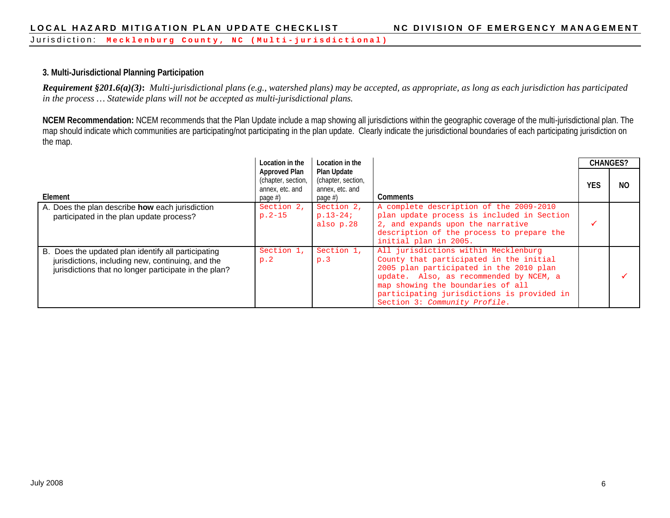#### **3. Multi-Jurisdictional Planning Participation**

*Requirement §201.6(a)(3)***:** *Multi-jurisdictional plans (e.g., watershed plans) may be accepted, as appropriate, as long as each jurisdiction has participated in the process … Statewide plans will not be accepted as multi-jurisdictional plans.*

**NCEM Recommendation:** NCEM recommends that the Plan Update include a map showing all jurisdictions within the geographic coverage of the multi-jurisdictional plan. The map should indicate which communities are participating/not participating in the plan update. Clearly indicate the jurisdictional boundaries of each participating jurisdiction on the map.

|                                                                                                                                                                   | Location in the                                                             | Location in the                                                    |                                                                                                                                                                                                                                                                                           |     | <b>CHANGES?</b> |
|-------------------------------------------------------------------------------------------------------------------------------------------------------------------|-----------------------------------------------------------------------------|--------------------------------------------------------------------|-------------------------------------------------------------------------------------------------------------------------------------------------------------------------------------------------------------------------------------------------------------------------------------------|-----|-----------------|
| Element                                                                                                                                                           | <b>Approved Plan</b><br>(chapter, section,<br>annex, etc. and<br>page $#$ ) | Plan Update<br>(chapter, section,<br>annex, etc. and<br>page $#$ ) | <b>Comments</b>                                                                                                                                                                                                                                                                           | YES | N <sub>O</sub>  |
| A. Does the plan describe how each jurisdiction<br>participated in the plan update process?                                                                       | Section 2,<br>$p.2-15$                                                      | Section 2,<br>$p.13-24;$<br>also p.28                              | A complete description of the 2009-2010<br>plan update process is included in Section<br>2, and expands upon the narrative<br>description of the process to prepare the<br>initial plan in 2005.                                                                                          |     |                 |
| B. Does the updated plan identify all participating<br>jurisdictions, including new, continuing, and the<br>jurisdictions that no longer participate in the plan? | Section 1,<br>p.2                                                           | Section 1,<br>p.3                                                  | All jurisdictions within Mecklenburg<br>County that participated in the initial<br>2005 plan participated in the 2010 plan<br>update. Also, as recommended by NCEM, a<br>map showing the boundaries of all<br>participating jurisdictions is provided in<br>Section 3: Community Profile. |     |                 |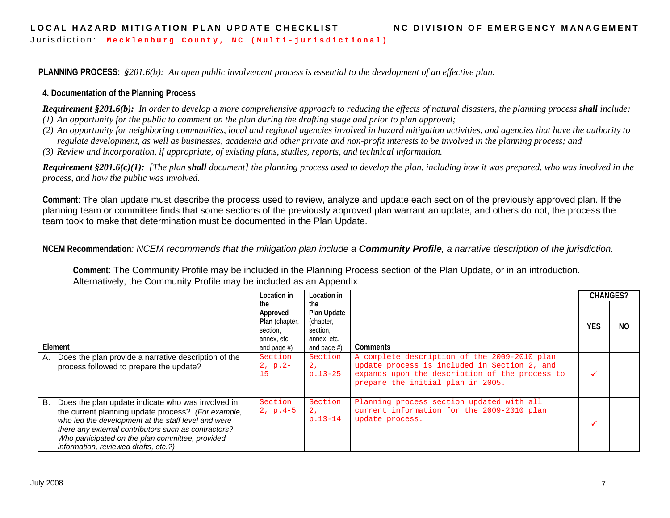**PLANNING PROCESS:** *§201.6(b): An open public involvement process is essential to the development of an effective plan.*

#### **4. Documentation of the Planning Process**

*Requirement §201.6(b): In order to develop a more comprehensive approach to reducing the effects of natural disasters, the planning process shall include: (1) An opportunity for the public to comment on the plan during the drafting stage and prior to plan approval;*

- *(2) An opportunity for neighboring communities, local and regional agencies involved in hazard mitigation activities, and agencies that have the authority to regulate development, as well as businesses, academia and other private and non-profit interests to be involved in the planning process; and*
- *(3) Review and incorporation, if appropriate, of existing plans, studies, reports, and technical information.*

**Requirement §201.6(c)(1):** [The plan **shall** document] the planning process used to develop the plan, including how it was prepared, who was involved in the *process, and how the public was involved.*

**Comment**: The plan update must describe the process used to review, analyze and update each section of the previously approved plan. If the planning team or committee finds that some sections of the previously approved plan warrant an update, and others do not, the process the team took to make that determination must be documented in the Plan Update.

**NCEM Recommendation***: NCEM recommends that the mitigation plan include a Community Profile, a narrative description of the jurisdiction.*

**Comment**: The Community Profile may be included in the Planning Process section of the Plan Update, or in an introduction. Alternatively, the Community Profile may be included as an Appendix*.*

|                                                                                                                                                                                                                                                                                                                          | Location in                                                                    | Location in                                                                  |                                                                                                                                                                                     | <b>CHANGES?</b> |     |
|--------------------------------------------------------------------------------------------------------------------------------------------------------------------------------------------------------------------------------------------------------------------------------------------------------------------------|--------------------------------------------------------------------------------|------------------------------------------------------------------------------|-------------------------------------------------------------------------------------------------------------------------------------------------------------------------------------|-----------------|-----|
| Element                                                                                                                                                                                                                                                                                                                  | the<br>Approved<br>Plan (chapter,<br>section,<br>annex, etc.<br>and page $#$ ) | the<br>Plan Update<br>(chapter,<br>section,<br>annex, etc.<br>and page $#$ ) | Comments                                                                                                                                                                            | YES             | NO. |
| Does the plan provide a narrative description of the<br>А.<br>process followed to prepare the update?                                                                                                                                                                                                                    | Section<br>$2, p.2-$<br>15                                                     | Section<br>2 <sub>r</sub><br>$p.13-25$                                       | A complete description of the 2009-2010 plan<br>update process is included in Section 2, and<br>expands upon the description of the process to<br>prepare the initial plan in 2005. |                 |     |
| Does the plan update indicate who was involved in<br>В.<br>the current planning update process? (For example,<br>who led the development at the staff level and were<br>there any external contributors such as contractors?<br>Who participated on the plan committee, provided<br>information, reviewed drafts, etc.?) | Section<br>$2, p.4-5$                                                          | Section<br>2.<br>$p.13-14$                                                   | Planning process section updated with all<br>current information for the 2009-2010 plan<br>update process.                                                                          |                 |     |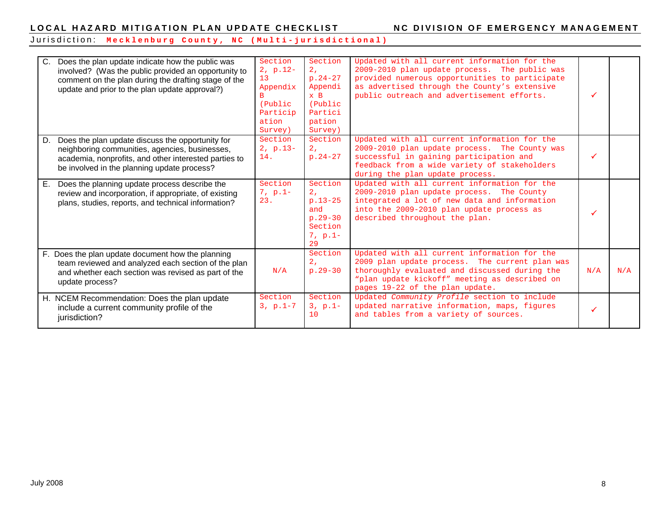#### Jurisdiction: **Mecklenburg County, NC ( Multi - jurisdictional)**

| C.<br>Does the plan update indicate how the public was<br>involved? (Was the public provided an opportunity to<br>comment on the plan during the drafting stage of the<br>update and prior to the plan update approval?) | Section<br>$2, p.12-$<br>13<br>Appendix<br>(Public<br>Particip<br>ation<br>Survey) | Section<br>2 <sub>r</sub><br>$p.24-27$<br>Appendi<br>$x$ B<br>(Public<br>Partici<br>pation<br>Survey) | Updated with all current information for the<br>2009-2010 plan update process. The public was<br>provided numerous opportunities to participate<br>as advertised through the County's extensive<br>public outreach and advertisement efforts. |     |     |
|--------------------------------------------------------------------------------------------------------------------------------------------------------------------------------------------------------------------------|------------------------------------------------------------------------------------|-------------------------------------------------------------------------------------------------------|-----------------------------------------------------------------------------------------------------------------------------------------------------------------------------------------------------------------------------------------------|-----|-----|
| Does the plan update discuss the opportunity for<br>D.<br>neighboring communities, agencies, businesses,<br>academia, nonprofits, and other interested parties to<br>be involved in the planning update process?         | Section<br>$2, p.13-$<br>14.                                                       | Section<br>2 <sub>r</sub><br>$p.24 - 27$                                                              | Updated with all current information for the<br>2009-2010 plan update process. The County was<br>successful in gaining participation and<br>feedback from a wide variety of stakeholders<br>during the plan update process.                   |     |     |
| Does the planning update process describe the<br>Е.<br>review and incorporation, if appropriate, of existing<br>plans, studies, reports, and technical information?                                                      | Section<br>$7, p.1-$<br>23.                                                        | Section<br>2.<br>$p.13-25$<br>and<br>$p.29 - 30$<br>Section<br>$7, p.1-$<br>29                        | Updated with all current information for the<br>2009-2010 plan update process. The County<br>integrated a lot of new data and information<br>into the 2009-2010 plan update process as<br>described throughout the plan.                      |     |     |
| F. Does the plan update document how the planning<br>team reviewed and analyzed each section of the plan<br>and whether each section was revised as part of the<br>update process?                                       | N/A                                                                                | Section<br>2.7<br>$p.29 - 30$                                                                         | Updated with all current information for the<br>2009 plan update process. The current plan was<br>thoroughly evaluated and discussed during the<br>"plan update kickoff" meeting as described on<br>pages 19-22 of the plan update.           | N/A | N/A |
| H. NCEM Recommendation: Does the plan update<br>include a current community profile of the<br>jurisdiction?                                                                                                              | Section<br>$3, p.1-7$                                                              | Section<br>$3, p.1-$<br>10                                                                            | Updated Community Profile section to include<br>updated narrative information, maps, figures<br>and tables from a variety of sources.                                                                                                         |     |     |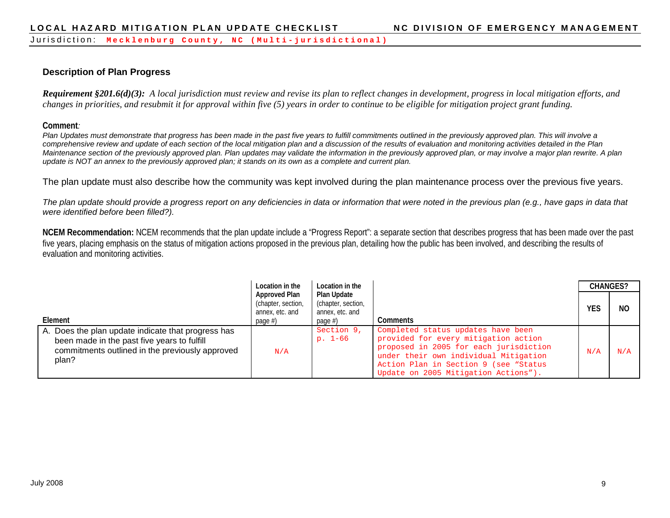# **Description of Plan Progress**

*Requirement §201.6(d)(3): A local jurisdiction must review and revise its plan to reflect changes in development, progress in local mitigation efforts, and changes in priorities, and resubmit it for approval within five (5) years in order to continue to be eligible for mitigation project grant funding.* 

**Comment***:*

*Plan Updates must demonstrate that progress has been made in the past five years to fulfill commitments outlined in the previously approved plan. This will involve a comprehensive review and update of each section of the local mitigation plan and a discussion of the results of evaluation and monitoring activities detailed in the Plan Maintenance section of the previously approved plan. Plan updates may validate the information in the previously approved plan, or may involve a major plan rewrite. A plan update is NOT an annex to the previously approved plan; it stands on its own as a complete and current plan.*

The plan update must also describe how the community was kept involved during the plan maintenance process over the previous five years.

*The plan update should provide a progress report on any deficiencies in data or information that were noted in the previous plan (e.g., have gaps in data that were identified before been filled?).* 

**NCEM Recommendation:** NCEM recommends that the plan update include a "Progress Report": a separate section that describes progress that has been made over the past five years, placing emphasis on the status of mitigation actions proposed in the previous plan, detailing how the public has been involved, and describing the results of evaluation and monitoring activities.

|                                                                                                                                                               | Location in the                                                             | Location in the                                                    |                                                                                                                                                                                                                                                |            | <b>CHANGES?</b> |
|---------------------------------------------------------------------------------------------------------------------------------------------------------------|-----------------------------------------------------------------------------|--------------------------------------------------------------------|------------------------------------------------------------------------------------------------------------------------------------------------------------------------------------------------------------------------------------------------|------------|-----------------|
| Element                                                                                                                                                       | <b>Approved Plan</b><br>(chapter, section,<br>annex, etc. and<br>page $#$ ) | Plan Update<br>(chapter, section,<br>annex, etc. and<br>page $#$ ) | Comments                                                                                                                                                                                                                                       | <b>YES</b> | NC              |
| A. Does the plan update indicate that progress has<br>been made in the past five years to fulfill<br>commitments outlined in the previously approved<br>plan? | N/A                                                                         | Section 9,<br>$p. 1-66$                                            | Completed status updates have been<br>provided for every mitigation action<br>proposed in 2005 for each jurisdiction<br>under their own individual Mitigation<br>Action Plan in Section 9 (see "Status<br>Update on 2005 Mitigation Actions"). | N/A        | N/A             |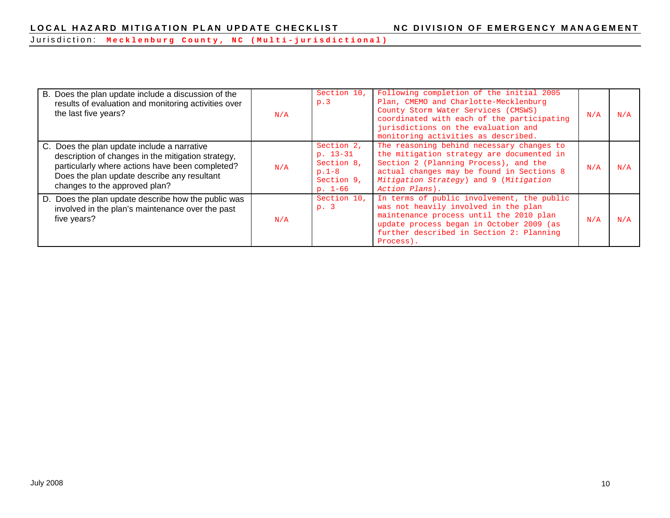Jurisdiction: **Mecklenburg County, NC ( Multi - jurisdictional)**

| B. Does the plan update include a discussion of the<br>results of evaluation and monitoring activities over<br>the last five years?                                                                                                  | N/A | Section 10,<br>p.3                                                           | Following completion of the initial 2005<br>Plan, CMEMO and Charlotte-Mecklenburg<br>County Storm Water Services (CMSWS)<br>coordinated with each of the participating<br>jurisdictions on the evaluation and<br>monitoring activities as described. | N/A | N/A |
|--------------------------------------------------------------------------------------------------------------------------------------------------------------------------------------------------------------------------------------|-----|------------------------------------------------------------------------------|------------------------------------------------------------------------------------------------------------------------------------------------------------------------------------------------------------------------------------------------------|-----|-----|
| C. Does the plan update include a narrative<br>description of changes in the mitigation strategy,<br>particularly where actions have been completed?<br>Does the plan update describe any resultant<br>changes to the approved plan? | N/A | Section 2,<br>$p. 13-31$<br>Section 8,<br>$p.1-8$<br>Section 9,<br>$p. 1-66$ | The reasoning behind necessary changes to<br>the mitigation strategy are documented in<br>Section 2 (Planning Process), and the<br>actual changes may be found in Sections 8<br>Mitigation Strategy) and 9 (Mitigation<br>Action Plans).             | N/A | N/A |
| D. Does the plan update describe how the public was<br>involved in the plan's maintenance over the past<br>five years?                                                                                                               | N/A | Section 10.<br>p.3                                                           | In terms of public involvement, the public<br>was not heavily involved in the plan<br>maintenance process until the 2010 plan<br>update process began in October 2009 (as<br>further described in Section 2: Planning<br>Process).                   | N/A | N/A |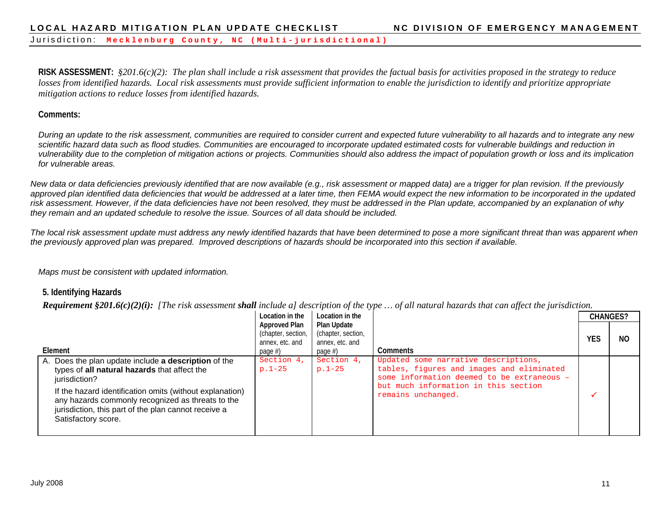Jurisdiction: **Mecklenburg County, NC ( Multi - jurisdictional)**

**RISK ASSESSMENT:** *§201.6(c)(2): The plan shall include a risk assessment that provides the factual basis for activities proposed in the strategy to reduce losses from identified hazards. Local risk assessments must provide sufficient information to enable the jurisdiction to identify and prioritize appropriate mitigation actions to reduce losses from identified hazards.*

#### **Comments:**

*During an update to the risk assessment, communities are required to consider current and expected future vulnerability to all hazards and to integrate any new*  scientific hazard data such as flood studies. Communities are encouraged to incorporate updated estimated costs for vulnerable buildings and reduction in *vulnerability due to the completion of mitigation actions or projects. Communities should also address the impact of population growth or loss and its implication for vulnerable areas.*

*New data or data deficiencies previously identified that are now available (e.g., risk assessment or mapped data) are a trigger for plan revision. If the previously* approved plan identified data deficiencies that would be addressed at a later time, then FEMA would expect the new information to be incorporated in the updated *risk assessment. However, if the data deficiencies have not been resolved, they must be addressed in the Plan update, accompanied by an explanation of why they remain and an updated schedule to resolve the issue. Sources of all data should be included.*

*The local risk assessment update must address any newly identified hazards that have been determined to pose a more significant threat than was apparent when the previously approved plan was prepared. Improved descriptions of hazards should be incorporated into this section if available.* 

*Maps must be consistent with updated information.*

#### **5. Identifying Hazards**

*Requirement §201.6(c)(2)(i): [The risk assessment shall include a] description of the type … of all natural hazards that can affect the jurisdiction.*

|                                                                                                                                                                                                                                                                                                                       | Location in the                                                      | Location in the                                                 |                                                                                                                                                                                               |            | <b>CHANGES?</b> |
|-----------------------------------------------------------------------------------------------------------------------------------------------------------------------------------------------------------------------------------------------------------------------------------------------------------------------|----------------------------------------------------------------------|-----------------------------------------------------------------|-----------------------------------------------------------------------------------------------------------------------------------------------------------------------------------------------|------------|-----------------|
| Element                                                                                                                                                                                                                                                                                                               | Approved Plan<br>(chapter, section,<br>annex, etc. and<br>page $#$ ) | Plan Update<br>(chapter, section,<br>annex, etc. and<br>page #) | Comments                                                                                                                                                                                      | <b>YES</b> | NO              |
| A. Does the plan update include a description of the<br>types of all natural hazards that affect the<br>jurisdiction?<br>If the hazard identification omits (without explanation)<br>any hazards commonly recognized as threats to the<br>jurisdiction, this part of the plan cannot receive a<br>Satisfactory score. | Section 4,<br>$p.1-25$                                               | Section 4,<br>$p.1-25$                                          | Updated some narrative descriptions,<br>tables, figures and images and eliminated<br>some information deemed to be extraneous -<br>but much information in this section<br>remains unchanged. |            |                 |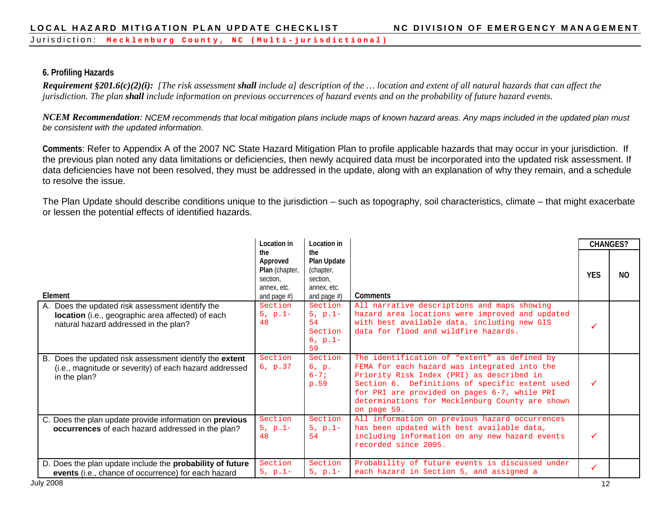Jurisdiction: **Mecklenburg County, NC ( Multi - jurisdictional)**

# **6. Profiling Hazards**

*Requirement §201.6(c)(2)(i): [The risk assessment shall include a] description of the … location and extent of all natural hazards that can affect the jurisdiction. The plan shall include information on previous occurrences of hazard events and on the probability of future hazard events.*

*NCEM Recommendation: NCEM recommends that local mitigation plans include maps of known hazard areas. Any maps included in the updated plan must be consistent with the updated information.*

**Comments**: Refer to Appendix A of the 2007 NC State Hazard Mitigation Plan to profile applicable hazards that may occur in your jurisdiction. If the previous plan noted any data limitations or deficiencies, then newly acquired data must be incorporated into the updated risk assessment. If data deficiencies have not been resolved, they must be addressed in the update, along with an explanation of why they remain, and a schedule to resolve the issue.

The Plan Update should describe conditions unique to the jurisdiction – such as topography, soil characteristics, climate – that might exacerbate or lessen the potential effects of identified hazards.

|                                                           | Location in                                                                           | Location in                                                                   |                                                                | <b>CHANGES?</b> |     |
|-----------------------------------------------------------|---------------------------------------------------------------------------------------|-------------------------------------------------------------------------------|----------------------------------------------------------------|-----------------|-----|
| Element                                                   | the<br>Approved<br><b>Plan</b> (chapter,<br>section.<br>annex, etc.<br>and page $#$ ) | the.<br>Plan Update<br>(chapter,<br>section,<br>annex, etc.<br>and page $#$ ) | Comments                                                       | <b>YES</b>      | NO. |
| A. Does the updated risk assessment identify the          | Section                                                                               | Section                                                                       | All narrative descriptions and maps showing                    |                 |     |
| location (i.e., geographic area affected) of each         | $5, p.1-$                                                                             | $5, p.1-$                                                                     | hazard area locations were improved and updated                |                 |     |
| natural hazard addressed in the plan?                     | 48                                                                                    | 54                                                                            | with best available data, including new GIS                    |                 |     |
|                                                           |                                                                                       | Section<br>$6, p.1-$                                                          | data for flood and wildfire hazards.                           |                 |     |
|                                                           |                                                                                       | 59                                                                            |                                                                |                 |     |
| B. Does the updated risk assessment identify the extent   | Section                                                                               | Section                                                                       | The identification of "extent" as defined by                   |                 |     |
| (i.e., magnitude or severity) of each hazard addressed    | 6, p.37                                                                               | 6, p.                                                                         | FEMA for each hazard was integrated into the                   |                 |     |
| in the plan?                                              |                                                                                       | $6 - 7i$                                                                      | Priority Risk Index (PRI) as described in                      |                 |     |
|                                                           |                                                                                       | p.59                                                                          | Section 6. Definitions of specific extent used                 |                 |     |
|                                                           |                                                                                       |                                                                               | for PRI are provided on pages 6-7, while PRI                   |                 |     |
|                                                           |                                                                                       |                                                                               | determinations for Mecklenburg County are shown<br>on page 59. |                 |     |
| C. Does the plan update provide information on previous   | Section                                                                               | Section                                                                       | All information on previous hazard occurrences                 |                 |     |
| occurrences of each hazard addressed in the plan?         | $5, p.1-$                                                                             | $5, p.1-$                                                                     | has been updated with best available data,                     |                 |     |
|                                                           | 48                                                                                    | 54                                                                            | including information on any new hazard events                 |                 |     |
|                                                           |                                                                                       |                                                                               | recorded since 2005.                                           |                 |     |
| D. Does the plan update include the probability of future | Section                                                                               | Section                                                                       | Probability of future events is discussed under                |                 |     |
| events (i.e., chance of occurrence) for each hazard       | $5, p.1-$                                                                             | $5, p.1-$                                                                     | each hazard in Section 5, and assigned a                       |                 |     |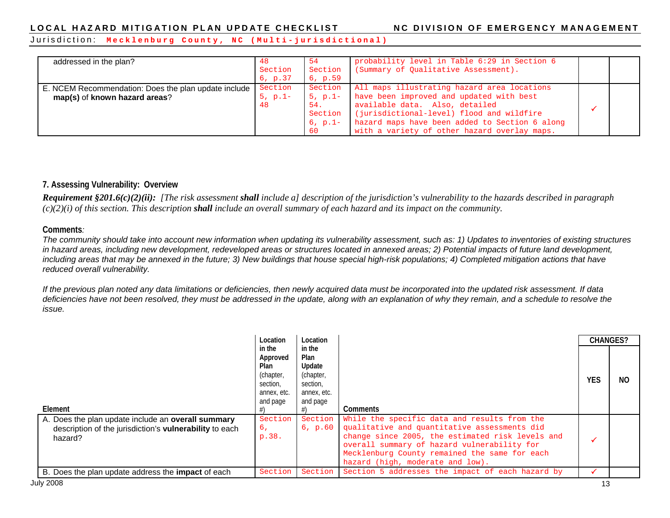Jurisdiction: **Mecklenburg County, NC ( Multi - jurisdictional)**

| addressed in the plan?                                                                | -48<br>Section<br>6, p.37  | -54<br>Section<br>6, p.59                                 | probability level in Table 6:29 in Section 6<br>(Summary of Qualitative Assessment).                                                                                                                                                                                     |  |
|---------------------------------------------------------------------------------------|----------------------------|-----------------------------------------------------------|--------------------------------------------------------------------------------------------------------------------------------------------------------------------------------------------------------------------------------------------------------------------------|--|
| E. NCEM Recommendation: Does the plan update include<br>map(s) of known hazard areas? | Section<br>$5, p.1-$<br>48 | Section<br>$5, p.1-$<br>54.<br>Section<br>$6, p.1-$<br>60 | All maps illustrating hazard area locations<br>have been improved and updated with best<br>available data. Also, detailed<br>(jurisdictional-level) flood and wildfire<br>hazard maps have been added to Section 6 along<br>with a variety of other hazard overlay maps. |  |

#### **7. Assessing Vulnerability: Overview**

*Requirement §201.6(c)(2)(ii): [The risk assessment shall include a] description of the jurisdiction's vulnerability to the hazards described in paragraph (c)(2)(i) of this section. This description shall include an overall summary of each hazard and its impact on the community.* 

#### **Comments***:*

*The community should take into account new information when updating its vulnerability assessment, such as: 1) Updates to inventories of existing structures in hazard areas, including new development, redeveloped areas or structures located in annexed areas; 2) Potential impacts of future land development, including areas that may be annexed in the future; 3) New buildings that house special high-risk populations; 4) Completed mitigation actions that have reduced overall vulnerability.*

*If the previous plan noted any data limitations or deficiencies, then newly acquired data must be incorporated into the updated risk assessment. If data deficiencies have not been resolved, they must be addressed in the update, along with an explanation of why they remain, and a schedule to resolve the issue.*

|                                                                                                                          | Location                                                                       | Location                                                                     |                                                                                                                                                                                                                                                                                              | <b>CHANGES?</b> |     |
|--------------------------------------------------------------------------------------------------------------------------|--------------------------------------------------------------------------------|------------------------------------------------------------------------------|----------------------------------------------------------------------------------------------------------------------------------------------------------------------------------------------------------------------------------------------------------------------------------------------|-----------------|-----|
| Element                                                                                                                  | in the<br>Approved<br>Plan<br>(chapter,<br>section,<br>annex, etc.<br>and page | in the<br>Plan<br>Update<br>(chapter,<br>section,<br>annex, etc.<br>and page | Comments                                                                                                                                                                                                                                                                                     | <b>YES</b>      | NO. |
| A. Does the plan update include an overall summary<br>description of the jurisdiction's vulnerability to each<br>hazard? | Section<br>б,<br>p.38.                                                         | 6, p.60                                                                      | Section While the specific data and results from the<br>qualitative and quantitative assessments did<br>change since 2005, the estimated risk levels and<br>overall summary of hazard vulnerability for<br>Mecklenburg County remained the same for each<br>hazard (high, moderate and low). |                 |     |
| B. Does the plan update address the <b>impact</b> of each                                                                | Section                                                                        | Section                                                                      | Section 5 addresses the impact of each hazard by                                                                                                                                                                                                                                             |                 |     |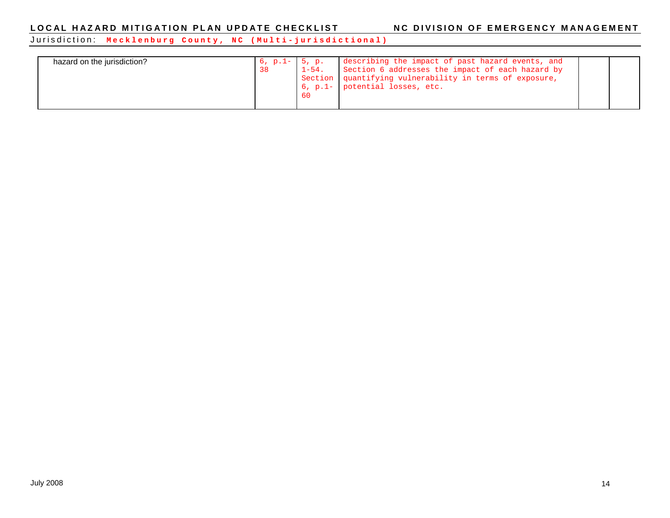Jurisdiction: **Mecklenburg County, NC ( Multi - jurisdictional)**

| hazard on the jurisdiction?<br>38 | 5, p.<br>$6, p.1-$<br>$1-54$ .<br>- 60 | describing the impact of past hazard events, and<br>Section 6 addresses the impact of each hazard by<br>Section   quantifying vulnerability in terms of exposure,<br>6, p.1- potential losses, etc. |  |  |
|-----------------------------------|----------------------------------------|-----------------------------------------------------------------------------------------------------------------------------------------------------------------------------------------------------|--|--|
|-----------------------------------|----------------------------------------|-----------------------------------------------------------------------------------------------------------------------------------------------------------------------------------------------------|--|--|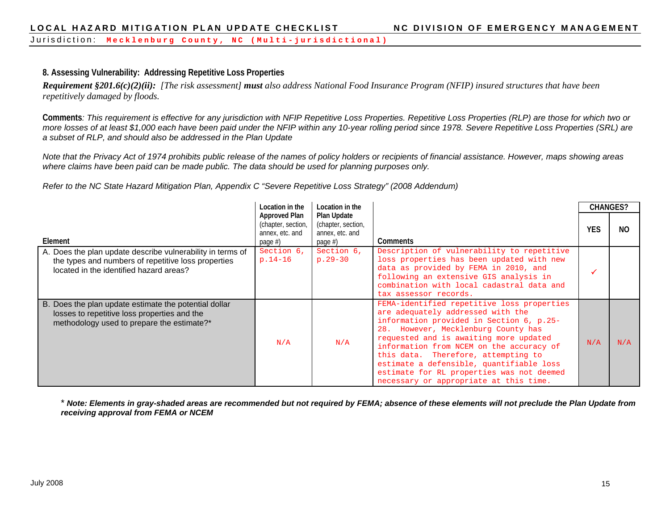#### **8. Assessing Vulnerability: Addressing Repetitive Loss Properties**

*Requirement §201.6(c)(2)(ii): [The risk assessment] must also address National Food Insurance Program (NFIP) insured structures that have been repetitively damaged by floods.* 

**Comments***: This requirement is effective for any jurisdiction with NFIP Repetitive Loss Properties. Repetitive Loss Properties (RLP) are those for which two or more losses of at least \$1,000 each have been paid under the NFIP within any 10-year rolling period since 1978. Severe Repetitive Loss Properties (SRL) are a subset of RLP, and should also be addressed in the Plan Update*

*Note that the Privacy Act of 1974 prohibits public release of the names of policy holders or recipients of financial assistance. However, maps showing areas where claims have been paid can be made public. The data should be used for planning purposes only.* 

*Refer to the NC State Hazard Mitigation Plan, Appendix C "Severe Repetitive Loss Strategy" (2008 Addendum)*

|                                                                                                                                                              | Location in the                                                      | Location in the                                                 |                                                                                                                                                                                                                                                                                                                                                                                                                                    | <b>CHANGES?</b> |     |
|--------------------------------------------------------------------------------------------------------------------------------------------------------------|----------------------------------------------------------------------|-----------------------------------------------------------------|------------------------------------------------------------------------------------------------------------------------------------------------------------------------------------------------------------------------------------------------------------------------------------------------------------------------------------------------------------------------------------------------------------------------------------|-----------------|-----|
| Element                                                                                                                                                      | Approved Plan<br>(chapter, section,<br>annex, etc. and<br>page $#$ ) | Plan Update<br>(chapter, section,<br>annex, etc. and<br>page #) | <b>Comments</b>                                                                                                                                                                                                                                                                                                                                                                                                                    | <b>YES</b>      | NO. |
| A. Does the plan update describe vulnerability in terms of<br>the types and numbers of repetitive loss properties<br>located in the identified hazard areas? | Section 6,<br>$p.14-16$                                              | Section 6,<br>$p.29 - 30$                                       | Description of vulnerability to repetitive<br>loss properties has been updated with new<br>data as provided by FEMA in 2010, and<br>following an extensive GIS analysis in<br>combination with local cadastral data and<br>tax assessor records.                                                                                                                                                                                   |                 |     |
| B. Does the plan update estimate the potential dollar<br>losses to repetitive loss properties and the<br>methodology used to prepare the estimate?*          | N/A                                                                  | N/A                                                             | FEMA-identified repetitive loss properties<br>are adequately addressed with the<br>information provided in Section 6, p.25-<br>28. However, Mecklenburg County has<br>requested and is awaiting more updated<br>information from NCEM on the accuracy of<br>this data. Therefore, attempting to<br>estimate a defensible, quantifiable loss<br>estimate for RL properties was not deemed<br>necessary or appropriate at this time. | N/A             | N/A |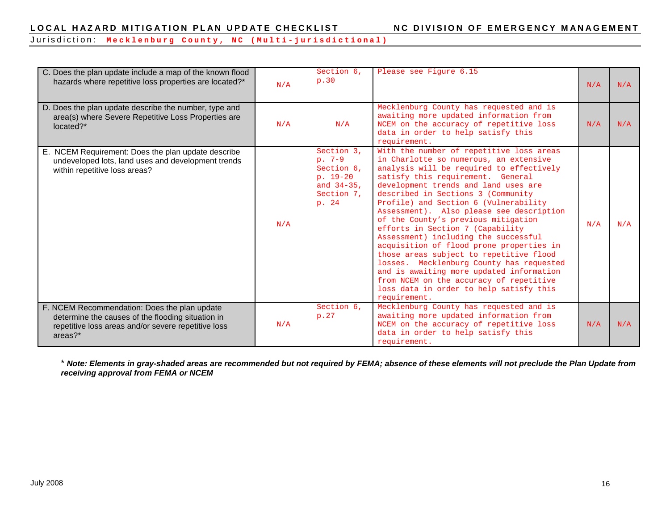Jurisdiction: **Mecklenburg County, NC ( Multi - jurisdictional)**

| C. Does the plan update include a map of the known flood<br>hazards where repetitive loss properties are located?*                                                    | N/A | Section 6,<br>p.30                                                                         | Please see Figure 6.15                                                                                                                                                                                                                                                                                                                                                                                                                                                                                                                                                                                                                                                                                                                         | N/A | N/A |
|-----------------------------------------------------------------------------------------------------------------------------------------------------------------------|-----|--------------------------------------------------------------------------------------------|------------------------------------------------------------------------------------------------------------------------------------------------------------------------------------------------------------------------------------------------------------------------------------------------------------------------------------------------------------------------------------------------------------------------------------------------------------------------------------------------------------------------------------------------------------------------------------------------------------------------------------------------------------------------------------------------------------------------------------------------|-----|-----|
| D. Does the plan update describe the number, type and<br>area(s) where Severe Repetitive Loss Properties are<br>located?*                                             | N/A | N/A                                                                                        | Mecklenburg County has requested and is<br>awaiting more updated information from<br>NCEM on the accuracy of repetitive loss<br>data in order to help satisfy this<br>requirement.                                                                                                                                                                                                                                                                                                                                                                                                                                                                                                                                                             | N/A | N/A |
| E. NCEM Requirement: Does the plan update describe<br>undeveloped lots, land uses and development trends<br>within repetitive loss areas?                             | N/A | Section 3.<br>$p. 7-9$<br>Section 6,<br>$p. 19-20$<br>and $34-35$ ,<br>Section 7,<br>p. 24 | With the number of repetitive loss areas<br>in Charlotte so numerous, an extensive<br>analysis will be required to effectively<br>satisfy this requirement. General<br>development trends and land uses are<br>described in Sections 3 (Community<br>Profile) and Section 6 (Vulnerability<br>Assessment). Also please see description<br>of the County's previous mitigation<br>efforts in Section 7 (Capability<br>Assessment) including the successful<br>acquisition of flood prone properties in<br>those areas subject to repetitive flood<br>losses. Mecklenburg County has requested<br>and is awaiting more updated information<br>from NCEM on the accuracy of repetitive<br>loss data in order to help satisfy this<br>requirement. | N/A | N/A |
| F. NCEM Recommendation: Does the plan update<br>determine the causes of the flooding situation in<br>repetitive loss areas and/or severe repetitive loss<br>$area?$ * | N/A | Section 6,<br>p.27                                                                         | Mecklenburg County has requested and is<br>awaiting more updated information from<br>NCEM on the accuracy of repetitive loss<br>data in order to help satisfy this<br>requirement.                                                                                                                                                                                                                                                                                                                                                                                                                                                                                                                                                             | N/A | N/A |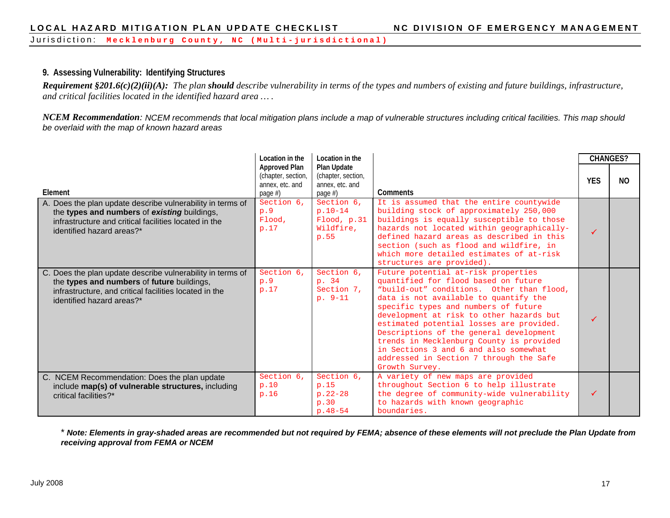Jurisdiction: **Mecklenburg County, NC ( Multi - jurisdictional)**

#### **9. Assessing Vulnerability: Identifying Structures**

*Requirement §201.6(c)(2)(ii)(A): The plan should describe vulnerability in terms of the types and numbers of existing and future buildings, infrastructure, and critical facilities located in the identified hazard area … .*

*NCEM Recommendation: NCEM recommends that local mitigation plans include a map of vulnerable structures including critical facilities. This map should be overlaid with the map of known hazard areas*

|                                                                                                                                                                                                  | Location in the                                                          | Location in the                                                    |                                                                                                                                                                                                                                                                                                                                                                                                                                                                                                | <b>CHANGES?</b> |                |
|--------------------------------------------------------------------------------------------------------------------------------------------------------------------------------------------------|--------------------------------------------------------------------------|--------------------------------------------------------------------|------------------------------------------------------------------------------------------------------------------------------------------------------------------------------------------------------------------------------------------------------------------------------------------------------------------------------------------------------------------------------------------------------------------------------------------------------------------------------------------------|-----------------|----------------|
| Element                                                                                                                                                                                          | <b>Approved Plan</b><br>(chapter, section,<br>annex, etc. and<br>page #) | Plan Update<br>(chapter, section,<br>annex, etc. and<br>page $#$ ) | Comments                                                                                                                                                                                                                                                                                                                                                                                                                                                                                       | <b>YES</b>      | N <sub>O</sub> |
| A. Does the plan update describe vulnerability in terms of<br>the types and numbers of existing buildings,<br>infrastructure and critical facilities located in the<br>identified hazard areas?* | Section 6,<br>p.9<br>Flood,<br>p.17                                      | Section 6.<br>$p.10-14$<br>Flood, p.31<br>Wildfire,<br>p.55        | It is assumed that the entire countywide<br>building stock of approximately 250,000<br>buildings is equally susceptible to those<br>hazards not located within geographically-<br>defined hazard areas as described in this<br>section (such as flood and wildfire, in<br>which more detailed estimates of at-risk<br>structures are provided).                                                                                                                                                | ✓               |                |
| C. Does the plan update describe vulnerability in terms of<br>the types and numbers of future buildings,<br>infrastructure, and critical facilities located in the<br>identified hazard areas?*  | Section 6,<br>p.9<br>p.17                                                | Section 6,<br>p. 34<br>Section 7,<br>$p. 9-11$                     | Future potential at-risk properties<br>quantified for flood based on future<br>"build-out" conditions. Other than flood,<br>data is not available to quantify the<br>specific types and numbers of future<br>development at risk to other hazards but<br>estimated potential losses are provided.<br>Descriptions of the general development<br>trends in Mecklenburg County is provided<br>in Sections 3 and 6 and also somewhat<br>addressed in Section 7 through the Safe<br>Growth Survey. |                 |                |
| C. NCEM Recommendation: Does the plan update<br>include map(s) of vulnerable structures, including<br>critical facilities?*                                                                      | Section 6.<br>p.10<br>p.16                                               | Section 6.<br>p.15<br>$p.22 - 28$<br>p.30<br>$p.48 - 54$           | A variety of new maps are provided<br>throughout Section 6 to help illustrate<br>the degree of community-wide vulnerability<br>to hazards with known geographic<br>boundaries.                                                                                                                                                                                                                                                                                                                 |                 |                |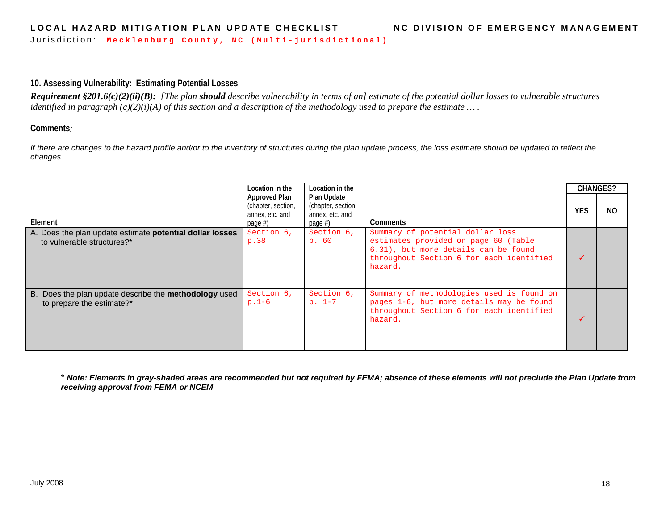Jurisdiction: **Mecklenburg County, NC ( Multi - jurisdictional)**

#### **10. Assessing Vulnerability: Estimating Potential Losses**

*Requirement §201.6(c)(2)(ii)(B): [The plan should describe vulnerability in terms of an] estimate of the potential dollar losses to vulnerable structures identified in paragraph (c)(2)(i)(A) of this section and a description of the methodology used to prepare the estimate … .*

#### **Comments***:*

If there are changes to the hazard profile and/or to the inventory of structures during the plan update process, the loss estimate should be updated to reflect the *changes.*

| Element                                                                                   | Location in the<br><b>Approved Plan</b><br>(chapter, section,<br>annex, etc. and<br>page $#$ ) | Location in the<br>Plan Update<br>(chapter, section,<br>annex, etc. and<br>page $#$ ) | Comments                                                                                                                                                                | <b>YES</b> | <b>CHANGES?</b><br>NO. |
|-------------------------------------------------------------------------------------------|------------------------------------------------------------------------------------------------|---------------------------------------------------------------------------------------|-------------------------------------------------------------------------------------------------------------------------------------------------------------------------|------------|------------------------|
| A. Does the plan update estimate potential dollar losses<br>to vulnerable structures?*    | Section 6,<br>p.38                                                                             | Section 6,<br>p. 60                                                                   | Summary of potential dollar loss<br>estimates provided on page 60 (Table<br>6.31), but more details can be found<br>throughout Section 6 for each identified<br>hazard. |            |                        |
| B. Does the plan update describe the <b>methodology</b> used<br>to prepare the estimate?* | Section 6,<br>$p.1-6$                                                                          | Section 6,<br>$p. 1-7$                                                                | Summary of methodologies used is found on<br>pages 1-6, but more details may be found<br>throughout Section 6 for each identified<br>hazard.                            |            |                        |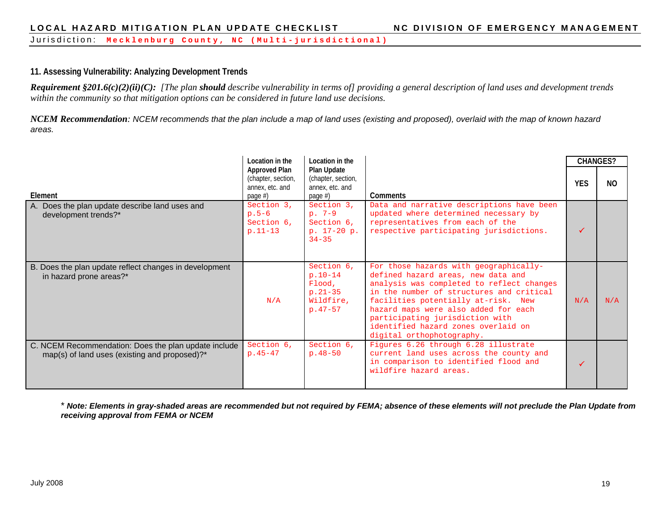#### **11. Assessing Vulnerability: Analyzing Development Trends**

*Requirement §201.6(c)(2)(ii)(C): [The plan should describe vulnerability in terms of] providing a general description of land uses and development trends within the community so that mitigation options can be considered in future land use decisions.*

*NCEM Recommendation: NCEM recommends that the plan include a map of land uses (existing and proposed), overlaid with the map of known hazard areas.*

|                                                                                                       | Location in the                                                          | Location in the                                                              |                                                                                                                                                                                                                                                                                                                                                             | <b>CHANGES?</b> |                |
|-------------------------------------------------------------------------------------------------------|--------------------------------------------------------------------------|------------------------------------------------------------------------------|-------------------------------------------------------------------------------------------------------------------------------------------------------------------------------------------------------------------------------------------------------------------------------------------------------------------------------------------------------------|-----------------|----------------|
| Element                                                                                               | <b>Approved Plan</b><br>(chapter, section,<br>annex, etc. and<br>page #) | Plan Update<br>(chapter, section,<br>annex, etc. and<br>page #)              | <b>Comments</b>                                                                                                                                                                                                                                                                                                                                             | <b>YES</b>      | N <sub>O</sub> |
| A. Does the plan update describe land uses and<br>development trends?*                                | Section 3,<br>$p.5-6$<br>Section 6,<br>$p.11-13$                         | Section 3,<br>$p.7-9$<br>Section 6,<br>p. 17-20 p.<br>$34 - 35$              | Data and narrative descriptions have been<br>updated where determined necessary by<br>representatives from each of the<br>respective participating jurisdictions.                                                                                                                                                                                           |                 |                |
| B. Does the plan update reflect changes in development<br>in hazard prone areas?*                     | N/A                                                                      | Section 6,<br>$p.10-14$<br>Flood,<br>$p.21 - 35$<br>Wildfire,<br>$p.47 - 57$ | For those hazards with geographically-<br>defined hazard areas, new data and<br>analysis was completed to reflect changes<br>in the number of structures and critical<br>facilities potentially at-risk. New<br>hazard maps were also added for each<br>participating jurisdiction with<br>identified hazard zones overlaid on<br>digital orthophotography. | N/A             | N/A            |
| C. NCEM Recommendation: Does the plan update include<br>map(s) of land uses (existing and proposed)?* | Section 6,<br>$p.45 - 47$                                                | Section 6,<br>$p.48 - 50$                                                    | Figures 6.26 through 6.28 illustrate<br>current land uses across the county and<br>in comparison to identified flood and<br>wildfire hazard areas.                                                                                                                                                                                                          |                 |                |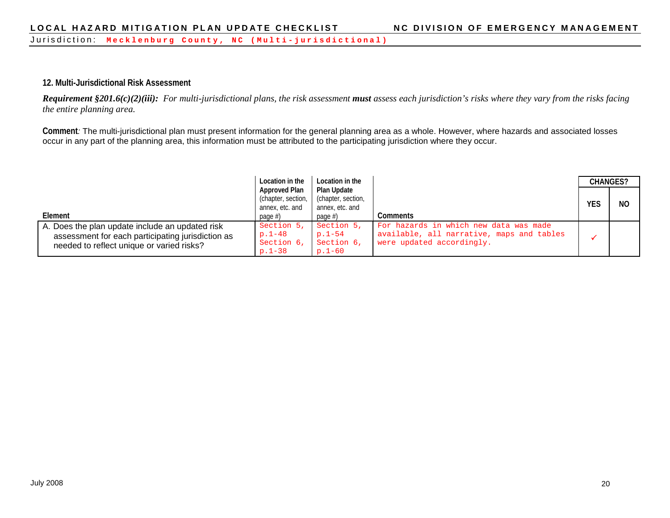#### **12. Multi-Jurisdictional Risk Assessment**

*Requirement §201.6(c)(2)(iii): For multi-jurisdictional plans, the risk assessment must assess each jurisdiction's risks where they vary from the risks facing the entire planning area.*

**Comment***:* The multi-jurisdictional plan must present information for the general planning area as a whole. However, where hazards and associated losses occur in any part of the planning area, this information must be attributed to the participating jurisdiction where they occur.

|                                                   | Location in the      | Location in the    |                                           | <b>CHANGES?</b> |    |
|---------------------------------------------------|----------------------|--------------------|-------------------------------------------|-----------------|----|
|                                                   | <b>Approved Plan</b> | Plan Update        |                                           |                 |    |
|                                                   | (chapter, section,   | (chapter, section, |                                           | <b>YES</b>      | NO |
|                                                   | annex, etc. and      | annex, etc. and    |                                           |                 |    |
| Element                                           | page $#$ )           | page $#$ )         | Comments                                  |                 |    |
| A. Does the plan update include an updated risk   | Section 5,           | Section 5,         | For hazards in which new data was made    |                 |    |
| assessment for each participating jurisdiction as | $p.1 - 48$           | $p.1 - 54$         | available, all narrative, maps and tables |                 |    |
| needed to reflect unique or varied risks?         | Section 6,           | Section 6,         | were updated accordingly.                 |                 |    |
|                                                   | $p.1 - 38$           | $p.1 - 60$         |                                           |                 |    |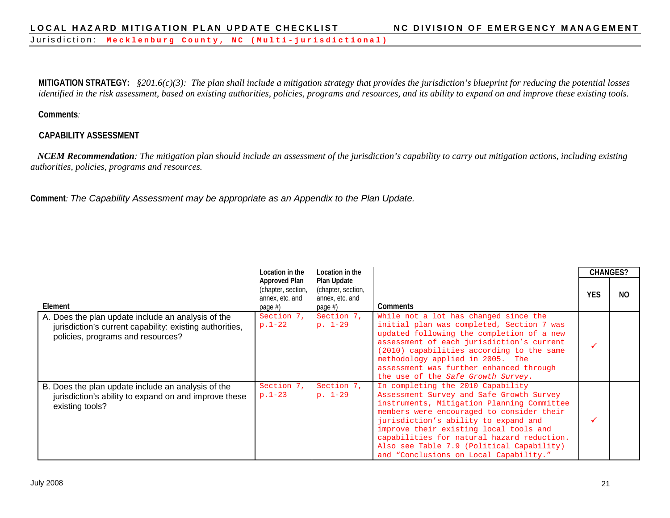**MITIGATION STRATEGY:** *§201.6(c)(3): The plan shall include a mitigation strategy that provides the jurisdiction's blueprint for reducing the potential losses identified in the risk assessment, based on existing authorities, policies, programs and resources, and its ability to expand on and improve these existing tools.*

#### **Comments***:*

#### **CAPABILITY ASSESSMENT**

 *NCEM Recommendation: The mitigation plan should include an assessment of the jurisdiction's capability to carry out mitigation actions, including existing authorities, policies, programs and resources.*

**Comment***: The Capability Assessment may be appropriate as an Appendix to the Plan Update.*

|                                                                                                                                                     | Location in the                                                      | Location in the                                                    |                                                                                                                                                                                                                                                                                                                                                                                                 |     | <b>CHANGES?</b> |
|-----------------------------------------------------------------------------------------------------------------------------------------------------|----------------------------------------------------------------------|--------------------------------------------------------------------|-------------------------------------------------------------------------------------------------------------------------------------------------------------------------------------------------------------------------------------------------------------------------------------------------------------------------------------------------------------------------------------------------|-----|-----------------|
| Element                                                                                                                                             | Approved Plan<br>(chapter, section,<br>annex, etc. and<br>page $#$ ) | Plan Update<br>(chapter, section,<br>annex, etc. and<br>page $#$ ) | <b>Comments</b>                                                                                                                                                                                                                                                                                                                                                                                 | YES | NO.             |
| A. Does the plan update include an analysis of the<br>jurisdiction's current capability: existing authorities,<br>policies, programs and resources? | Section 7,<br>$p.1-22$                                               | Section 7,<br>$p. 1-29$                                            | While not a lot has changed since the<br>initial plan was completed, Section 7 was<br>updated following the completion of a new<br>assessment of each jurisdiction's current<br>(2010) capabilities according to the same<br>methodology applied in 2005. The<br>assessment was further enhanced through<br>the use of the Safe Growth Survey.                                                  |     |                 |
| B. Does the plan update include an analysis of the<br>jurisdiction's ability to expand on and improve these<br>existing tools?                      | Section 7,<br>$p.1-23$                                               | Section 7,<br>$p. 1-29$                                            | In completing the 2010 Capability<br>Assessment Survey and Safe Growth Survey<br>instruments, Mitigation Planning Committee<br>members were encouraged to consider their<br>jurisdiction's ability to expand and<br>improve their existing local tools and<br>capabilities for natural hazard reduction.<br>Also see Table 7.9 (Political Capability)<br>and "Conclusions on Local Capability." |     |                 |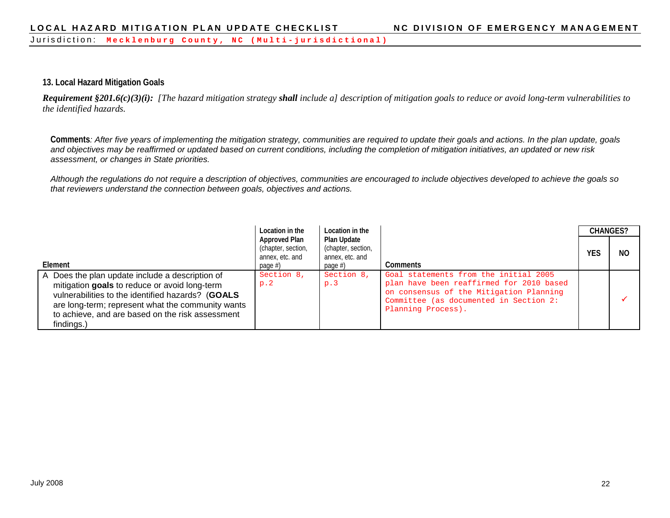#### **13. Local Hazard Mitigation Goals**

*Requirement §201.6(c)(3)(i): [The hazard mitigation strategy shall include a] description of mitigation goals to reduce or avoid long-term vulnerabilities to the identified hazards.*

**Comments***: After five years of implementing the mitigation strategy, communities are required to update their goals and actions. In the plan update, goals and objectives may be reaffirmed or updated based on current conditions, including the completion of mitigation initiatives, an updated or new risk assessment, or changes in State priorities.* 

*Although the regulations do not require a description of objectives, communities are encouraged to include objectives developed to achieve the goals so that reviewers understand the connection between goals, objectives and actions.* 

|                                                                                                                                                                                                                                                                              | Location in the                                                      | Location in the                                                    |                                                                                                                                                                                              |     | <b>CHANGES?</b> |
|------------------------------------------------------------------------------------------------------------------------------------------------------------------------------------------------------------------------------------------------------------------------------|----------------------------------------------------------------------|--------------------------------------------------------------------|----------------------------------------------------------------------------------------------------------------------------------------------------------------------------------------------|-----|-----------------|
| Element                                                                                                                                                                                                                                                                      | Approved Plan<br>(chapter, section,<br>annex, etc. and<br>page $#$ ) | Plan Update<br>(chapter, section,<br>annex, etc. and<br>page $#$ ) | <b>Comments</b>                                                                                                                                                                              | YES | NO.             |
| A Does the plan update include a description of<br>mitigation goals to reduce or avoid long-term<br>vulnerabilities to the identified hazards? (GOALS<br>are long-term; represent what the community wants<br>to achieve, and are based on the risk assessment<br>findings.) | Section 8,<br>p.2                                                    | Section 8,<br>p.3                                                  | Goal statements from the initial 2005<br>plan have been reaffirmed for 2010 based<br>on consensus of the Mitigation Planning<br>Committee (as documented in Section 2:<br>Planning Process). |     |                 |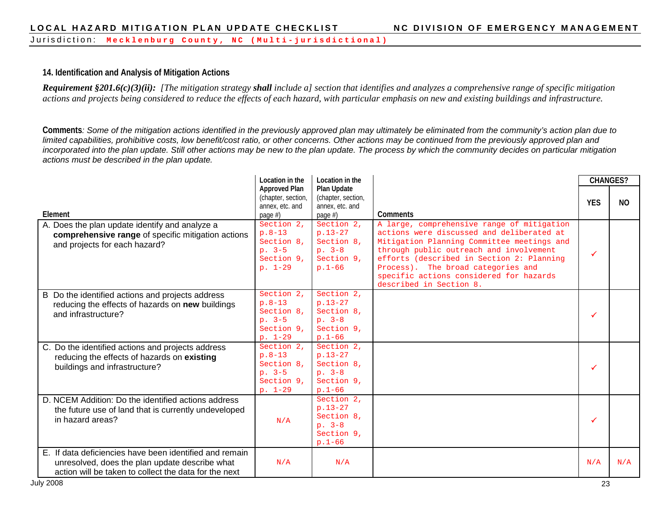#### **14. Identification and Analysis of Mitigation Actions**

*Requirement §201.6(c)(3)(ii): [The mitigation strategy shall include a] section that identifies and analyzes a comprehensive range of specific mitigation actions and projects being considered to reduce the effects of each hazard, with particular emphasis on new and existing buildings and infrastructure.*

**Comments***: Some of the mitigation actions identified in the previously approved plan may ultimately be eliminated from the community's action plan due to limited capabilities, prohibitive costs, low benefit/cost ratio, or other concerns. Other actions may be continued from the previously approved plan and*  incorporated into the plan update. Still other actions may be new to the plan update. The process by which the community decides on particular mitigation *actions must be described in the plan update.*

|                                                                                                                                                                    | Location in the                                                             | Location in the                                                               |                                                                                                                                                                                                                                                                                                                                           | <b>CHANGES?</b> |           |
|--------------------------------------------------------------------------------------------------------------------------------------------------------------------|-----------------------------------------------------------------------------|-------------------------------------------------------------------------------|-------------------------------------------------------------------------------------------------------------------------------------------------------------------------------------------------------------------------------------------------------------------------------------------------------------------------------------------|-----------------|-----------|
| Element                                                                                                                                                            | <b>Approved Plan</b><br>(chapter, section,<br>annex, etc. and<br>page #)    | <b>Plan Update</b><br>(chapter, section,<br>annex, etc. and<br>page $#$ )     | Comments                                                                                                                                                                                                                                                                                                                                  | <b>YES</b>      | <b>NO</b> |
| A. Does the plan update identify and analyze a<br>comprehensive range of specific mitigation actions<br>and projects for each hazard?                              | Section 2.<br>$p.8-13$<br>Section 8.<br>$p. 3-5$<br>Section 9.<br>$p. 1-29$ | Section 2.<br>$p.13-27$<br>Section 8,<br>$p. 3-8$<br>Section 9,<br>$p.1 - 66$ | A large, comprehensive range of mitigation<br>actions were discussed and deliberated at<br>Mitigation Planning Committee meetings and<br>through public outreach and involvement<br>efforts (described in Section 2: Planning<br>Process). The broad categories and<br>specific actions considered for hazards<br>described in Section 8. |                 |           |
| B Do the identified actions and projects address<br>reducing the effects of hazards on new buildings<br>and infrastructure?                                        | Section 2,<br>$p.8-13$<br>Section 8.<br>$p. 3-5$<br>Section 9,<br>$p. 1-29$ | Section 2,<br>$p.13-27$<br>Section 8,<br>$p. 3-8$<br>Section 9,<br>$p.1 - 66$ |                                                                                                                                                                                                                                                                                                                                           |                 |           |
| C. Do the identified actions and projects address<br>reducing the effects of hazards on existing<br>buildings and infrastructure?                                  | Section 2.<br>$p.8-13$<br>Section 8.<br>$p. 3-5$<br>Section 9.<br>$p. 1-29$ | Section 2.<br>$p.13-27$<br>Section 8,<br>$p. 3-8$<br>Section 9.<br>$p.1 - 66$ |                                                                                                                                                                                                                                                                                                                                           |                 |           |
| D. NCEM Addition: Do the identified actions address<br>the future use of land that is currently undeveloped<br>in hazard areas?                                    | N/A                                                                         | Section 2.<br>$p.13-27$<br>Section 8,<br>$p. 3-8$<br>Section 9,<br>$p.1 - 66$ |                                                                                                                                                                                                                                                                                                                                           |                 |           |
| E. If data deficiencies have been identified and remain<br>unresolved, does the plan update describe what<br>action will be taken to collect the data for the next | N/A                                                                         | N/A                                                                           |                                                                                                                                                                                                                                                                                                                                           | N/A             | N/A       |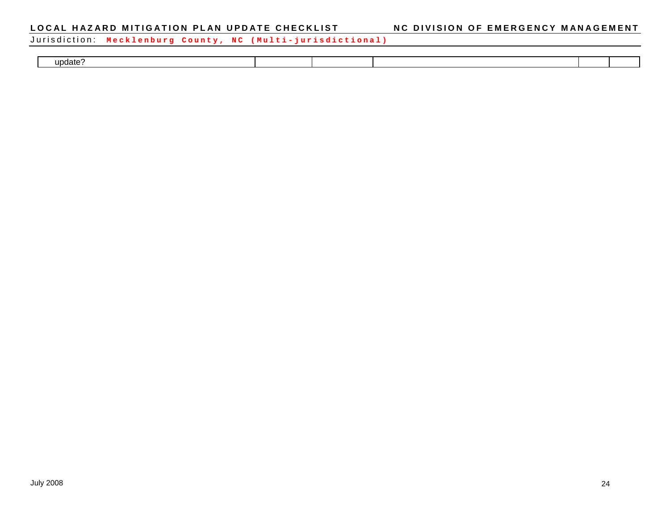Jurisdiction: **Mecklenburg County, NC ( Multi - jurisdictional)**

| update's |  |  |  |
|----------|--|--|--|
|          |  |  |  |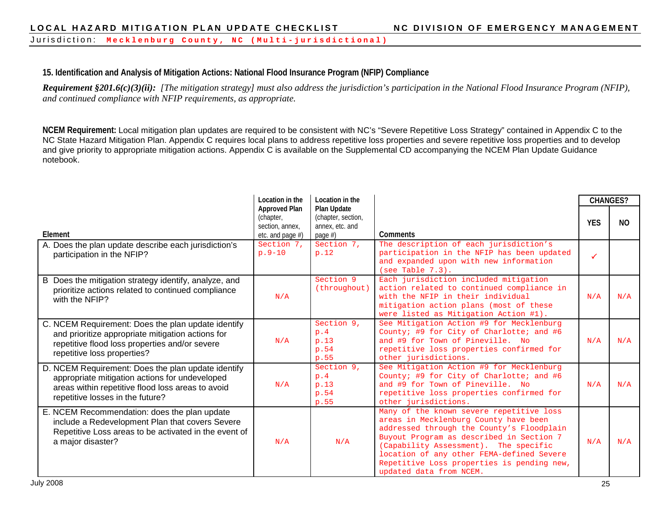Jurisdiction: **Mecklenburg County, NC ( Multi - jurisdictional)**

# **15. Identification and Analysis of Mitigation Actions: National Flood Insurance Program (NFIP) Compliance**

*Requirement §201.6(c)(3)(ii): [The mitigation strategy] must also address the jurisdiction's participation in the National Flood Insurance Program (NFIP), and continued compliance with NFIP requirements, as appropriate.* 

**NCEM Requirement:** Local mitigation plan updates are required to be consistent with NC's "Severe Repetitive Loss Strategy" contained in Appendix C to the NC State Hazard Mitigation Plan. Appendix C requires local plans to address repetitive loss properties and severe repetitive loss properties and to develop and give priority to appropriate mitigation actions. Appendix C is available on the Supplemental CD accompanying the NCEM Plan Update Guidance notebook.

|                                                                                                                                                                                               | Location in the                                                             | Location in the                                                           |                                                                                                                                                                                                                                                                                                                                           | <b>CHANGES?</b> |                |
|-----------------------------------------------------------------------------------------------------------------------------------------------------------------------------------------------|-----------------------------------------------------------------------------|---------------------------------------------------------------------------|-------------------------------------------------------------------------------------------------------------------------------------------------------------------------------------------------------------------------------------------------------------------------------------------------------------------------------------------|-----------------|----------------|
| Element                                                                                                                                                                                       | <b>Approved Plan</b><br>(chapter,<br>section, annex.<br>etc. and page $#$ ) | <b>Plan Update</b><br>(chapter, section,<br>annex, etc. and<br>page $#$ ) | Comments                                                                                                                                                                                                                                                                                                                                  | <b>YFS</b>      | N <sub>0</sub> |
| A. Does the plan update describe each jurisdiction's<br>participation in the NFIP?                                                                                                            | Section 7.<br>$p.9-10$                                                      | Section 7.<br>p.12                                                        | The description of each jurisdiction's<br>participation in the NFIP has been updated<br>and expanded upon with new information<br>(see Table 7.3).                                                                                                                                                                                        | ✓               |                |
| B Does the mitigation strategy identify, analyze, and<br>prioritize actions related to continued compliance<br>with the NFIP?                                                                 | N/A                                                                         | Section 9<br>(throughout)                                                 | Each jurisdiction included mitigation<br>action related to continued compliance in<br>with the NFIP in their individual<br>mitigation action plans (most of these<br>were listed as Mitigation Action #1).                                                                                                                                | N/A             | N/A            |
| C. NCEM Requirement: Does the plan update identify<br>and prioritize appropriate mitigation actions for<br>repetitive flood loss properties and/or severe<br>repetitive loss properties?      | N/A                                                                         | Section 9,<br>p.4<br>p.13<br>p.54<br>p.55                                 | See Mitigation Action #9 for Mecklenburg<br>County; #9 for City of Charlotte; and #6<br>and #9 for Town of Pineville. No<br>repetitive loss properties confirmed for<br>other jurisdictions.                                                                                                                                              | N/A             | N/A            |
| D. NCEM Requirement: Does the plan update identify<br>appropriate mitigation actions for undeveloped<br>areas within repetitive flood loss areas to avoid<br>repetitive losses in the future? | N/A                                                                         | Section 9,<br>p.4<br>p.13<br>p.54<br>p.55                                 | See Mitigation Action #9 for Mecklenburg<br>County; #9 for City of Charlotte; and #6<br>and #9 for Town of Pineville. No<br>repetitive loss properties confirmed for<br>other jurisdictions.                                                                                                                                              | N/A             | N/A            |
| E. NCEM Recommendation: does the plan update<br>include a Redevelopment Plan that covers Severe<br>Repetitive Loss areas to be activated in the event of<br>a major disaster?                 | N/A                                                                         | N/A                                                                       | Many of the known severe repetitive loss<br>areas in Mecklenburg County have been<br>addressed through the County's Floodplain<br>Buyout Program as described in Section 7<br>(Capability Assessment). The specific<br>location of any other FEMA-defined Severe<br>Repetitive Loss properties is pending new,<br>updated data from NCEM. | N/A             | N/A            |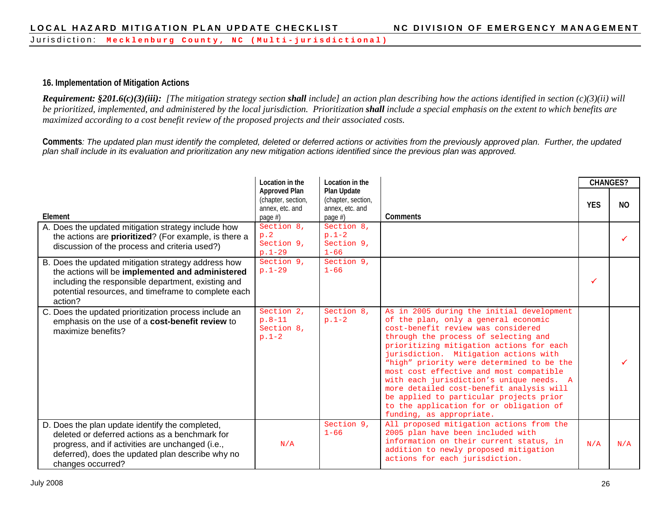#### **16. Implementation of Mitigation Actions**

*Requirement: §201.6(c)(3)(iii): [The mitigation strategy section shall include] an action plan describing how the actions identified in section (c)(3)(ii) will be prioritized, implemented, and administered by the local jurisdiction. Prioritization shall include a special emphasis on the extent to which benefits are maximized according to a cost benefit review of the proposed projects and their associated costs.*

**Comments***: The updated plan must identify the completed, deleted or deferred actions or activities from the previously approved plan. Further, the updated plan shall include in its evaluation and prioritization any new mitigation actions identified since the previous plan was approved.* 

|                                                                                                                                                                                                                                 | Location in the                                                             | Location in the                                                    |                                                                                                                                                                                                                                                                                                                                                                                                                                                                                                                                                        | <b>CHANGES?</b> |           |
|---------------------------------------------------------------------------------------------------------------------------------------------------------------------------------------------------------------------------------|-----------------------------------------------------------------------------|--------------------------------------------------------------------|--------------------------------------------------------------------------------------------------------------------------------------------------------------------------------------------------------------------------------------------------------------------------------------------------------------------------------------------------------------------------------------------------------------------------------------------------------------------------------------------------------------------------------------------------------|-----------------|-----------|
| Element                                                                                                                                                                                                                         | <b>Approved Plan</b><br>(chapter, section,<br>annex, etc. and<br>page $#$ ) | Plan Update<br>(chapter, section,<br>annex, etc. and<br>page $#$ ) | Comments                                                                                                                                                                                                                                                                                                                                                                                                                                                                                                                                               | <b>YFS</b>      | <b>NO</b> |
| A. Does the updated mitigation strategy include how<br>the actions are prioritized? (For example, is there a<br>discussion of the process and criteria used?)                                                                   | Section 8,<br>p.2<br>Section 9,<br>$p.1-29$                                 | Section 8,<br>$p.1-2$<br>Section 9,<br>$1 - 66$                    |                                                                                                                                                                                                                                                                                                                                                                                                                                                                                                                                                        |                 |           |
| B. Does the updated mitigation strategy address how<br>the actions will be implemented and administered<br>including the responsible department, existing and<br>potential resources, and timeframe to complete each<br>action? | Section 9.<br>$p.1-29$                                                      | Section 9,<br>$1 - 66$                                             |                                                                                                                                                                                                                                                                                                                                                                                                                                                                                                                                                        |                 |           |
| C. Does the updated prioritization process include an<br>emphasis on the use of a cost-benefit review to<br>maximize benefits?                                                                                                  | Section 2,<br>$p.8-11$<br>Section 8.<br>$p.1-2$                             | Section 8.<br>$p.1-2$                                              | As in 2005 during the initial development<br>of the plan, only a general economic<br>cost-benefit review was considered<br>through the process of selecting and<br>prioritizing mitigation actions for each<br>jurisdiction. Mitigation actions with<br>"high" priority were determined to be the<br>most cost effective and most compatible<br>with each jurisdiction's unique needs. A<br>more detailed cost-benefit analysis will<br>be applied to particular projects prior<br>to the application for or obligation of<br>funding, as appropriate. |                 |           |
| D. Does the plan update identify the completed,<br>deleted or deferred actions as a benchmark for<br>progress, and if activities are unchanged (i.e.,<br>deferred), does the updated plan describe why no<br>changes occurred?  | N/A                                                                         | Section 9,<br>$1 - 66$                                             | All proposed mitigation actions from the<br>2005 plan have been included with<br>information on their current status, in<br>addition to newly proposed mitigation<br>actions for each jurisdiction.                                                                                                                                                                                                                                                                                                                                                    | N/A             | N/A       |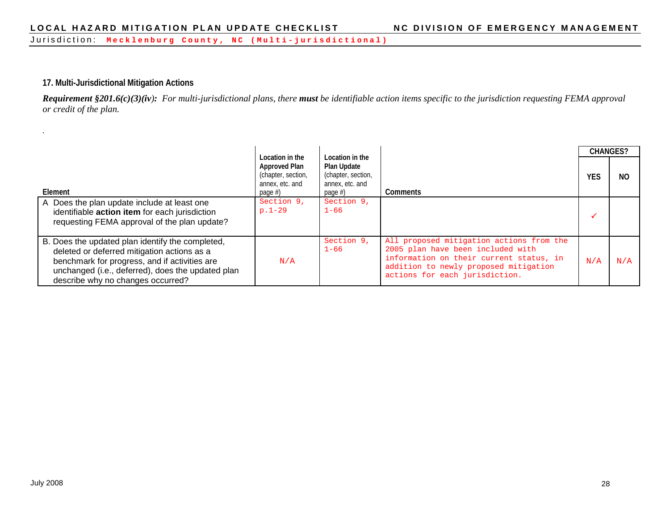#### **17. Multi-Jurisdictional Mitigation Actions**

*Requirement §201.6(c)(3)(iv): For multi-jurisdictional plans, there must be identifiable action items specific to the jurisdiction requesting FEMA approval or credit of the plan.*

|                                                                                                                                                                                                                                            | Location in the                                                      | Location in the                                                 |                                                                                                                                                                                                     | <b>CHANGES?</b> |     |
|--------------------------------------------------------------------------------------------------------------------------------------------------------------------------------------------------------------------------------------------|----------------------------------------------------------------------|-----------------------------------------------------------------|-----------------------------------------------------------------------------------------------------------------------------------------------------------------------------------------------------|-----------------|-----|
| Element                                                                                                                                                                                                                                    | Approved Plan<br>(chapter, section,<br>annex, etc. and<br>page $#$ ) | Plan Update<br>(chapter, section,<br>annex, etc. and<br>page #) | Comments                                                                                                                                                                                            | <b>YES</b>      | NO  |
| A Does the plan update include at least one<br>identifiable action item for each jurisdiction<br>requesting FEMA approval of the plan update?                                                                                              | Section 9,<br>$p.1-29$                                               | Section 9,<br>$1 - 66$                                          |                                                                                                                                                                                                     |                 |     |
| B. Does the updated plan identify the completed,<br>deleted or deferred mitigation actions as a<br>benchmark for progress, and if activities are<br>unchanged (i.e., deferred), does the updated plan<br>describe why no changes occurred? | N/A                                                                  | Section 9,<br>$1 - 66$                                          | All proposed mitigation actions from the<br>2005 plan have been included with<br>information on their current status, in<br>addition to newly proposed mitigation<br>actions for each jurisdiction. | N/A             | N/A |

*.*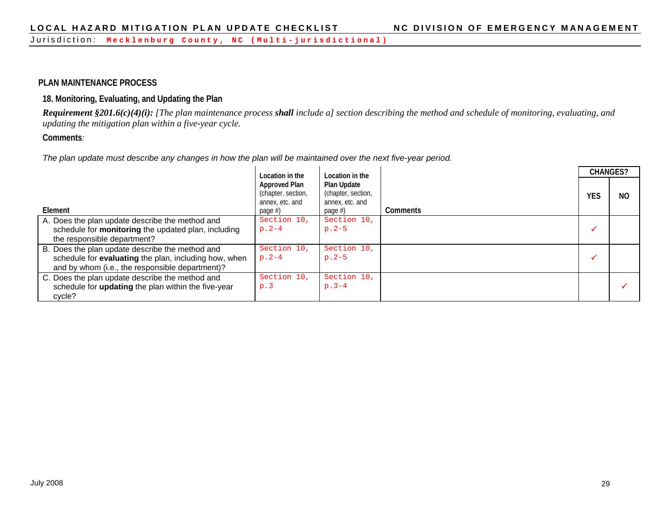#### **PLAN MAINTENANCE PROCESS**

#### **18. Monitoring, Evaluating, and Updating the Plan**

*Requirement §201.6(c)(4)(i): [The plan maintenance process shall include a] section describing the method and schedule of monitoring, evaluating, and updating the mitigation plan within a five-year cycle.*

#### **Comments***:*

*The plan update must describe any changes in how the plan will be maintained over the next five-year period.*

|                                                                                                                                                             | Location in the                                                      | Location in the                                                    |                 |            | <b>CHANGES?</b> |
|-------------------------------------------------------------------------------------------------------------------------------------------------------------|----------------------------------------------------------------------|--------------------------------------------------------------------|-----------------|------------|-----------------|
| Element                                                                                                                                                     | Approved Plan<br>(chapter, section,<br>annex, etc. and<br>page $#$ ) | Plan Update<br>(chapter, section,<br>annex, etc. and<br>page $#$ ) | <b>Comments</b> | <b>YES</b> | NO.             |
| A. Does the plan update describe the method and<br>schedule for monitoring the updated plan, including<br>the responsible department?                       | Section 10,<br>$p.2-4$                                               | Section 10,<br>$p.2-5$                                             |                 |            |                 |
| B. Does the plan update describe the method and<br>schedule for evaluating the plan, including how, when<br>and by whom (i.e., the responsible department)? | Section 10,<br>$p.2-4$                                               | Section 10,<br>$p.2-5$                                             |                 |            |                 |
| C. Does the plan update describe the method and<br>schedule for updating the plan within the five-year<br>cycle?                                            | Section 10,<br>p.3                                                   | Section 10,<br>$p.3-4$                                             |                 |            |                 |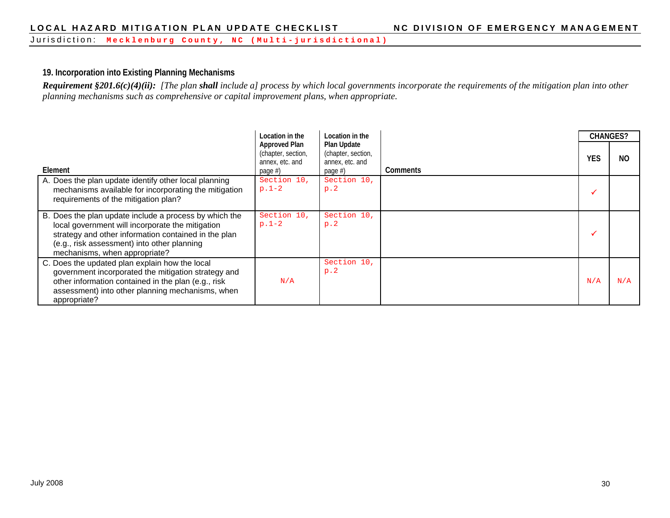Jurisdiction: **Mecklenburg County, NC ( Multi - jurisdictional)**

#### **19. Incorporation into Existing Planning Mechanisms**

*Requirement §201.6(c)(4)(ii): [The plan shall include a] process by which local governments incorporate the requirements of the mitigation plan into other planning mechanisms such as comprehensive or capital improvement plans, when appropriate.*

|                                                                                                                                                                                                                                                    | Location in the                                                             | Location in the                                                    |                 | <b>CHANGES?</b> |     |
|----------------------------------------------------------------------------------------------------------------------------------------------------------------------------------------------------------------------------------------------------|-----------------------------------------------------------------------------|--------------------------------------------------------------------|-----------------|-----------------|-----|
| Element                                                                                                                                                                                                                                            | <b>Approved Plan</b><br>(chapter, section,<br>annex, etc. and<br>page $#$ ) | Plan Update<br>(chapter, section,<br>annex, etc. and<br>page $#$ ) | <b>Comments</b> | <b>YES</b>      | NO. |
| A. Does the plan update identify other local planning<br>mechanisms available for incorporating the mitigation<br>requirements of the mitigation plan?                                                                                             | Section 10,<br>$p.1-2$                                                      | Section 10,<br>p.2                                                 |                 |                 |     |
| B. Does the plan update include a process by which the<br>local government will incorporate the mitigation<br>strategy and other information contained in the plan<br>(e.g., risk assessment) into other planning<br>mechanisms, when appropriate? | Section 10,<br>$p.1-2$                                                      | Section 10,<br>p.2                                                 |                 |                 |     |
| C. Does the updated plan explain how the local<br>government incorporated the mitigation strategy and<br>other information contained in the plan (e.g., risk<br>assessment) into other planning mechanisms, when<br>appropriate?                   | N/A                                                                         | Section 10,<br>p.2                                                 |                 | N/A             | N/A |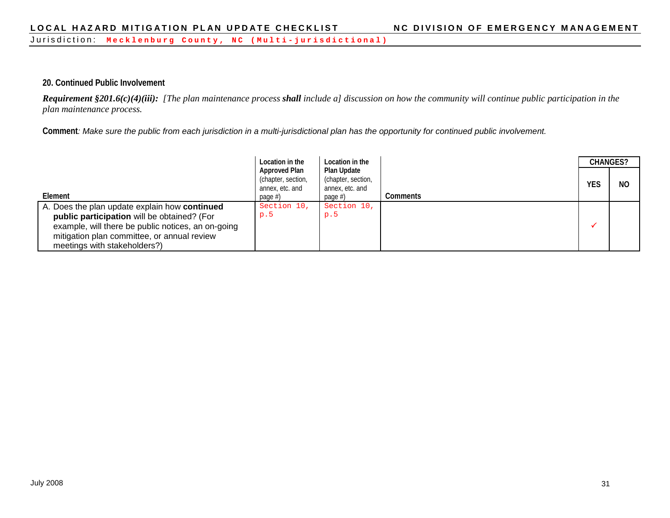#### **20. Continued Public Involvement**

*Requirement §201.6(c)(4)(iii): [The plan maintenance process shall include a] discussion on how the community will continue public participation in the plan maintenance process.*

**Comment***: Make sure the public from each jurisdiction in a multi-jurisdictional plan has the opportunity for continued public involvement.*

|                                                                                                                                   | Location in the                                                             | Location in the                                                    |                 | <b>CHANGES?</b> |           |
|-----------------------------------------------------------------------------------------------------------------------------------|-----------------------------------------------------------------------------|--------------------------------------------------------------------|-----------------|-----------------|-----------|
| Element                                                                                                                           | <b>Approved Plan</b><br>(chapter, section,<br>annex, etc. and<br>page $#$ ) | Plan Update<br>(chapter, section,<br>annex, etc. and<br>page $#$ ) | <b>Comments</b> | <b>YES</b>      | <b>NO</b> |
| A. Does the plan update explain how continued<br>public participation will be obtained? (For                                      | Section 10,<br>p.5                                                          | Section 10,<br>p.5                                                 |                 |                 |           |
| example, will there be public notices, an on-going<br>mitigation plan committee, or annual review<br>meetings with stakeholders?) |                                                                             |                                                                    |                 |                 |           |